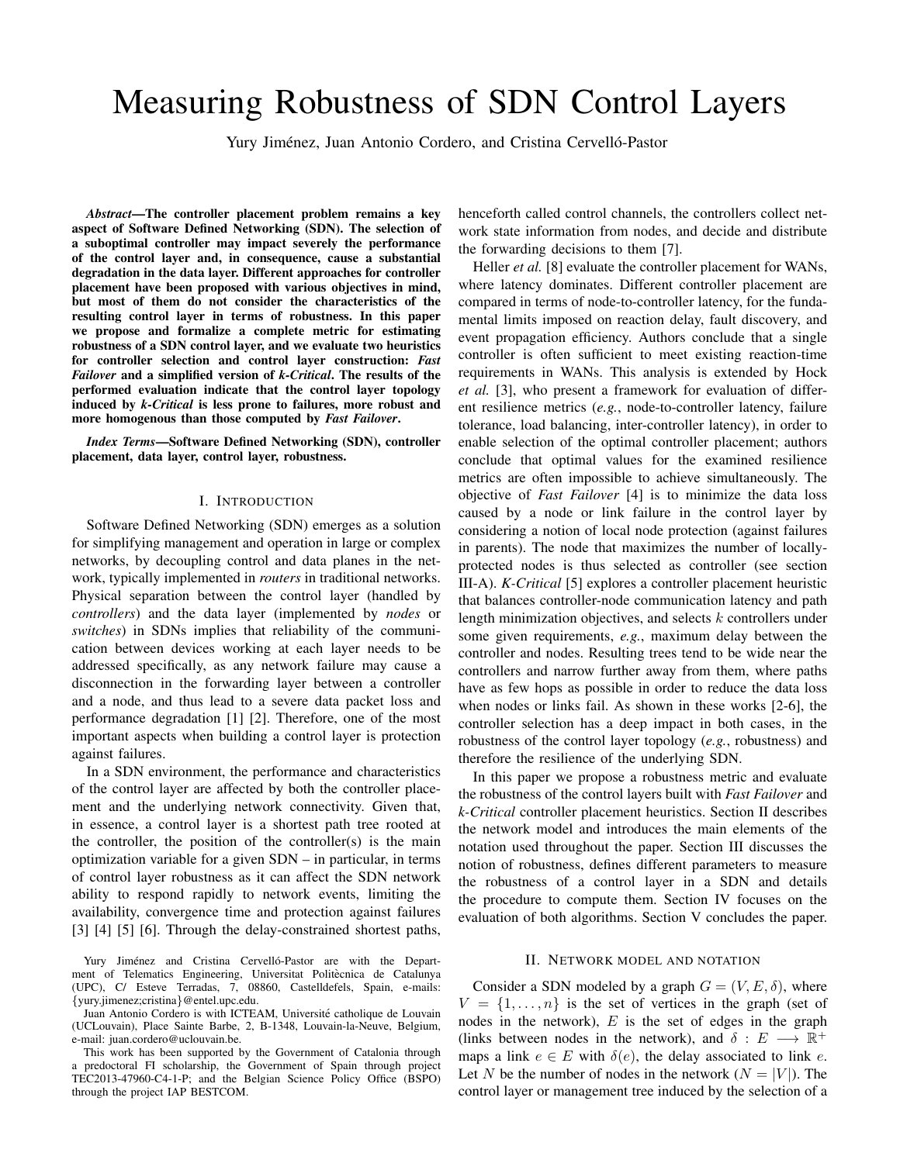# Measuring Robustness of SDN Control Layers

Yury Jiménez, Juan Antonio Cordero, and Cristina Cervelló-Pastor

*Abstract*—The controller placement problem remains a key aspect of Software Defined Networking (SDN). The selection of a suboptimal controller may impact severely the performance of the control layer and, in consequence, cause a substantial degradation in the data layer. Different approaches for controller placement have been proposed with various objectives in mind, but most of them do not consider the characteristics of the resulting control layer in terms of robustness. In this paper we propose and formalize a complete metric for estimating robustness of a SDN control layer, and we evaluate two heuristics for controller selection and control layer construction: *Fast Failover* and a simplified version of *k-Critical*. The results of the performed evaluation indicate that the control layer topology induced by *k-Critical* is less prone to failures, more robust and more homogenous than those computed by *Fast Failover*.

*Index Terms*—Software Defined Networking (SDN), controller placement, data layer, control layer, robustness.

## I. INTRODUCTION

Software Defined Networking (SDN) emerges as a solution for simplifying management and operation in large or complex networks, by decoupling control and data planes in the network, typically implemented in *routers* in traditional networks. Physical separation between the control layer (handled by *controllers*) and the data layer (implemented by *nodes* or *switches*) in SDNs implies that reliability of the communication between devices working at each layer needs to be addressed specifically, as any network failure may cause a disconnection in the forwarding layer between a controller and a node, and thus lead to a severe data packet loss and performance degradation [1] [2]. Therefore, one of the most important aspects when building a control layer is protection against failures.

In a SDN environment, the performance and characteristics of the control layer are affected by both the controller placement and the underlying network connectivity. Given that, in essence, a control layer is a shortest path tree rooted at the controller, the position of the controller(s) is the main optimization variable for a given SDN – in particular, in terms of control layer robustness as it can affect the SDN network ability to respond rapidly to network events, limiting the availability, convergence time and protection against failures [3] [4] [5] [6]. Through the delay-constrained shortest paths,

Yury Jiménez and Cristina Cervelló-Pastor are with the Department of Telematics Engineering, Universitat Politècnica de Catalunya (UPC), C/ Esteve Terradas, 7, 08860, Castelldefels, Spain, e-mails: {yury.jimenez;cristina}@entel.upc.edu.

Juan Antonio Cordero is with ICTEAM, Université catholique de Louvain (UCLouvain), Place Sainte Barbe, 2, B-1348, Louvain-la-Neuve, Belgium, e-mail: juan.cordero@uclouvain.be.

This work has been supported by the Government of Catalonia through a predoctoral FI scholarship, the Government of Spain through project TEC2013-47960-C4-1-P; and the Belgian Science Policy Office (BSPO) through the project IAP BESTCOM.

henceforth called control channels, the controllers collect network state information from nodes, and decide and distribute the forwarding decisions to them [7].

Heller *et al.* [8] evaluate the controller placement for WANs, where latency dominates. Different controller placement are compared in terms of node-to-controller latency, for the fundamental limits imposed on reaction delay, fault discovery, and event propagation efficiency. Authors conclude that a single controller is often sufficient to meet existing reaction-time requirements in WANs. This analysis is extended by Hock *et al.* [3], who present a framework for evaluation of different resilience metrics (*e.g.*, node-to-controller latency, failure tolerance, load balancing, inter-controller latency), in order to enable selection of the optimal controller placement; authors conclude that optimal values for the examined resilience metrics are often impossible to achieve simultaneously. The objective of *Fast Failover* [4] is to minimize the data loss caused by a node or link failure in the control layer by considering a notion of local node protection (against failures in parents). The node that maximizes the number of locallyprotected nodes is thus selected as controller (see section III-A). *K-Critical* [5] explores a controller placement heuristic that balances controller-node communication latency and path length minimization objectives, and selects k controllers under some given requirements, *e.g.*, maximum delay between the controller and nodes. Resulting trees tend to be wide near the controllers and narrow further away from them, where paths have as few hops as possible in order to reduce the data loss when nodes or links fail. As shown in these works [2-6], the controller selection has a deep impact in both cases, in the robustness of the control layer topology (*e.g.*, robustness) and therefore the resilience of the underlying SDN.

In this paper we propose a robustness metric and evaluate the robustness of the control layers built with *Fast Failover* and *k-Critical* controller placement heuristics. Section II describes the network model and introduces the main elements of the notation used throughout the paper. Section III discusses the notion of robustness, defines different parameters to measure the robustness of a control layer in a SDN and details the procedure to compute them. Section IV focuses on the evaluation of both algorithms. Section V concludes the paper.

### II. NETWORK MODEL AND NOTATION

Consider a SDN modeled by a graph  $G = (V, E, \delta)$ , where  $V = \{1, \ldots, n\}$  is the set of vertices in the graph (set of nodes in the network),  $E$  is the set of edges in the graph (links between nodes in the network), and  $\delta : E \longrightarrow \mathbb{R}^+$ maps a link  $e \in E$  with  $\delta(e)$ , the delay associated to link e. Let N be the number of nodes in the network  $(N = |V|)$ . The control layer or management tree induced by the selection of a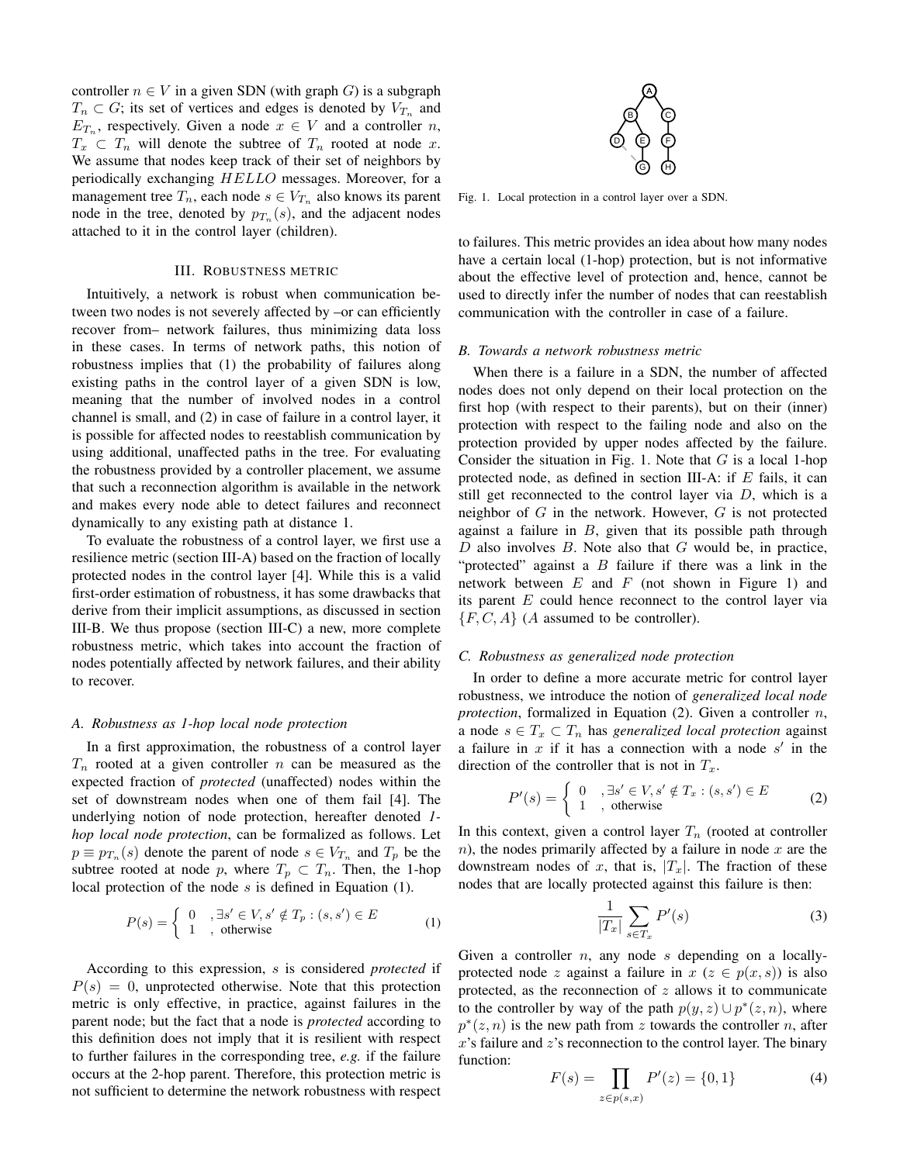controller  $n \in V$  in a given SDN (with graph G) is a subgraph  $T_n \subset G$ ; its set of vertices and edges is denoted by  $V_{T_n}$  and  $E_{T_n}$ , respectively. Given a node  $x \in V$  and a controller n,  $T_x \n\subset T_n$  will denote the subtree of  $T_n$  rooted at node x. We assume that nodes keep track of their set of neighbors by periodically exchanging HELLO messages. Moreover, for a management tree  $T_n$ , each node  $s \in V_{T_n}$  also knows its parent node in the tree, denoted by  $p_{T_n}(s)$ , and the adjacent nodes attached to it in the control layer (children).

#### III. ROBUSTNESS METRIC

Intuitively, a network is robust when communication between two nodes is not severely affected by –or can efficiently recover from– network failures, thus minimizing data loss in these cases. In terms of network paths, this notion of robustness implies that (1) the probability of failures along existing paths in the control layer of a given SDN is low, meaning that the number of involved nodes in a control channel is small, and (2) in case of failure in a control layer, it is possible for affected nodes to reestablish communication by using additional, unaffected paths in the tree. For evaluating the robustness provided by a controller placement, we assume that such a reconnection algorithm is available in the network and makes every node able to detect failures and reconnect dynamically to any existing path at distance 1.

To evaluate the robustness of a control layer, we first use a resilience metric (section III-A) based on the fraction of locally protected nodes in the control layer [4]. While this is a valid first-order estimation of robustness, it has some drawbacks that derive from their implicit assumptions, as discussed in section III-B. We thus propose (section III-C) a new, more complete robustness metric, which takes into account the fraction of nodes potentially affected by network failures, and their ability to recover.

#### *A. Robustness as 1-hop local node protection*

In a first approximation, the robustness of a control layer  $T_n$  rooted at a given controller n can be measured as the expected fraction of *protected* (unaffected) nodes within the set of downstream nodes when one of them fail [4]. The underlying notion of node protection, hereafter denoted *1 hop local node protection*, can be formalized as follows. Let  $p \equiv p_{T_n}(s)$  denote the parent of node  $s \in V_{T_n}$  and  $T_p$  be the subtree rooted at node p, where  $T_p \subset T_n$ . Then, the 1-hop local protection of the node  $s$  is defined in Equation (1).

$$
P(s) = \begin{cases} 0, & \exists s' \in V, s' \notin T_p : (s, s') \in E \\ 1, & \text{otherwise} \end{cases}
$$
 (1)

According to this expression, s is considered *protected* if  $P(s) = 0$ , unprotected otherwise. Note that this protection metric is only effective, in practice, against failures in the parent node; but the fact that a node is *protected* according to this definition does not imply that it is resilient with respect to further failures in the corresponding tree, *e.g.* if the failure occurs at the 2-hop parent. Therefore, this protection metric is not sufficient to determine the network robustness with respect



Fig. 1. Local protection in a control layer over a SDN.

to failures. This metric provides an idea about how many nodes have a certain local (1-hop) protection, but is not informative about the effective level of protection and, hence, cannot be used to directly infer the number of nodes that can reestablish communication with the controller in case of a failure.

#### *B. Towards a network robustness metric*

When there is a failure in a SDN, the number of affected nodes does not only depend on their local protection on the first hop (with respect to their parents), but on their (inner) protection with respect to the failing node and also on the protection provided by upper nodes affected by the failure. Consider the situation in Fig. 1. Note that  $G$  is a local 1-hop protected node, as defined in section III-A: if  $E$  fails, it can still get reconnected to the control layer via  $D$ , which is a neighbor of  $G$  in the network. However,  $G$  is not protected against a failure in  $B$ , given that its possible path through  $D$  also involves  $B$ . Note also that  $G$  would be, in practice, "protected" against a  $B$  failure if there was a link in the network between  $E$  and  $F$  (not shown in Figure 1) and its parent  $E$  could hence reconnect to the control layer via  $\{F, C, A\}$  (A assumed to be controller).

# *C. Robustness as generalized node protection*

In order to define a more accurate metric for control layer robustness, we introduce the notion of *generalized local node protection*, formalized in Equation (2). Given a controller n, a node  $s \in T_x \subset T_n$  has *generalized local protection* against a failure in  $x$  if it has a connection with a node  $s'$  in the direction of the controller that is not in  $T_x$ .

$$
P'(s) = \begin{cases} 0, & \exists s' \in V, s' \notin T_x : (s, s') \in E \\ 1, & \text{otherwise} \end{cases}
$$
 (2)

In this context, given a control layer  $T_n$  (rooted at controller  $n$ ), the nodes primarily affected by a failure in node  $x$  are the downstream nodes of x, that is,  $|T_x|$ . The fraction of these nodes that are locally protected against this failure is then:

$$
\frac{1}{|T_x|} \sum_{s \in T_x} P'(s) \tag{3}
$$

Given a controller *n*, any node *s* depending on a locallyprotected node z against a failure in  $x (z \in p(x, s))$  is also protected, as the reconnection of  $z$  allows it to communicate to the controller by way of the path  $p(y, z) \cup p^*(z, n)$ , where  $p^*(z, n)$  is the new path from z towards the controller n, after  $x$ 's failure and  $z$ 's reconnection to the control layer. The binary function:

$$
F(s) = \prod_{z \in p(s,x)} P'(z) = \{0,1\}
$$
 (4)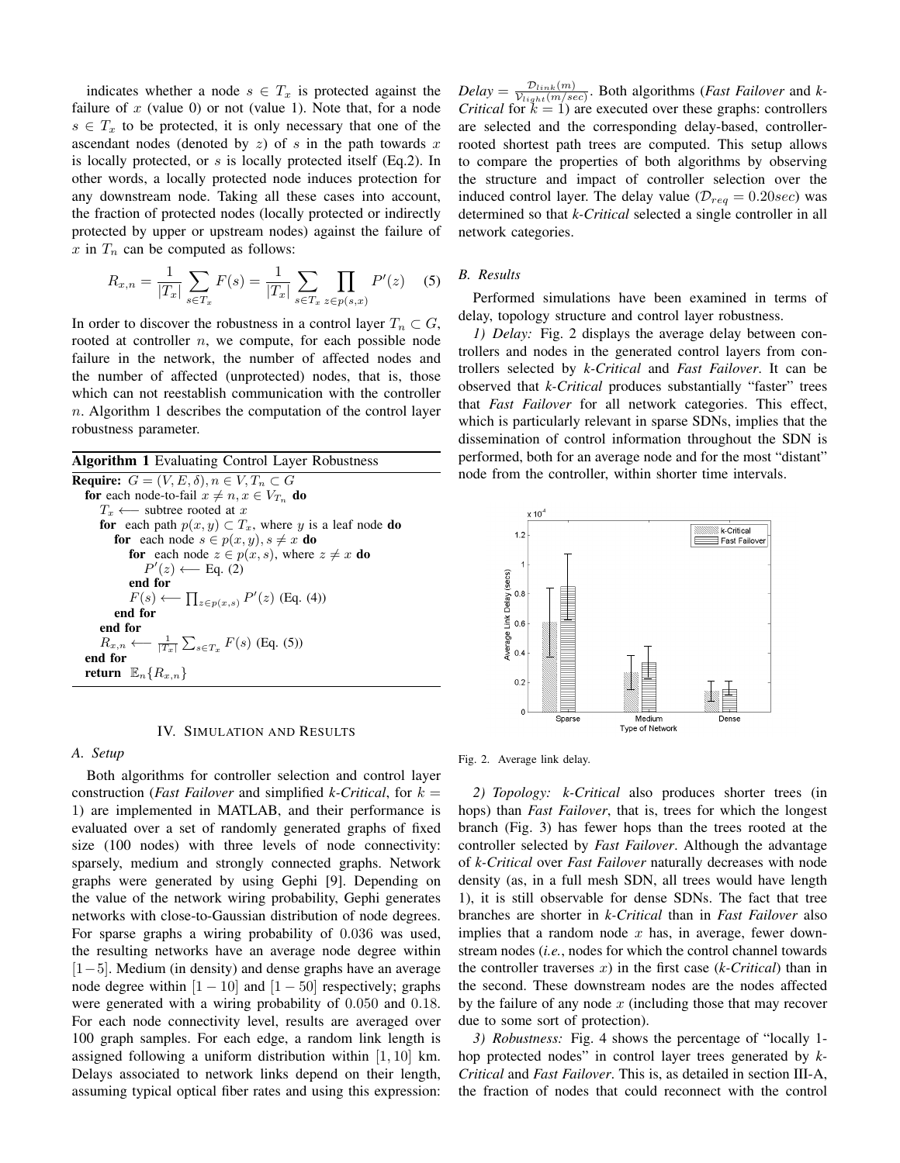indicates whether a node  $s \in T_x$  is protected against the failure of  $x$  (value 0) or not (value 1). Note that, for a node  $s \in T_x$  to be protected, it is only necessary that one of the ascendant nodes (denoted by  $z$ ) of  $s$  in the path towards  $x$ is locally protected, or s is locally protected itself (Eq.2). In other words, a locally protected node induces protection for any downstream node. Taking all these cases into account, the fraction of protected nodes (locally protected or indirectly protected by upper or upstream nodes) against the failure of  $x$  in  $T_n$  can be computed as follows:

$$
R_{x,n} = \frac{1}{|T_x|} \sum_{s \in T_x} F(s) = \frac{1}{|T_x|} \sum_{s \in T_x} \prod_{z \in p(s,x)} P'(z) \quad (5)
$$

In order to discover the robustness in a control layer  $T_n \subset G$ , rooted at controller  $n$ , we compute, for each possible node failure in the network, the number of affected nodes and the number of affected (unprotected) nodes, that is, those which can not reestablish communication with the controller  $n.$  Algorithm 1 describes the computation of the control layer robustness parameter.

| <b>Algorithm 1</b> Evaluating Control Layer Robustness                   |
|--------------------------------------------------------------------------|
| <b>Require:</b> $G = (V, E, \delta), n \in V, T_n \subset G$             |
| <b>for</b> each node-to-fail $x \neq n, x \in V_{T_n}$ <b>do</b>         |
| $T_x \longleftarrow$ subtree rooted at x                                 |
| for each path $p(x, y) \subset T_x$ , where y is a leaf node do          |
| <b>for</b> each node $s \in p(x, y), s \neq x$ <b>do</b>                 |
| for each node $z \in p(x, s)$ , where $z \neq x$ do                      |
| $P'(z) \longleftarrow$ Eq. (2)                                           |
| end for                                                                  |
| $F(s) \longleftarrow \prod_{z \in p(x,s)} P'(z)$ (Eq. (4))               |
| end for                                                                  |
| end for                                                                  |
| $R_{x,n} \longleftarrow \frac{1}{ T_x } \sum_{s \in T_x} F(s)$ (Eq. (5)) |
| end for                                                                  |
| return $\mathbb{E}_n\{R_{x,n}\}\$                                        |
|                                                                          |

## IV. SIMULATION AND RESULTS

## *A. Setup*

Both algorithms for controller selection and control layer construction (*Fast Failover* and simplified *k*-Critical, for  $k =$ 1) are implemented in MATLAB, and their performance is evaluated over a set of randomly generated graphs of fixed size (100 nodes) with three levels of node connectivity: sparsely, medium and strongly connected graphs. Network graphs were generated by using Gephi [9]. Depending on the value of the network wiring probability, Gephi generates networks with close-to-Gaussian distribution of node degrees. For sparse graphs a wiring probability of 0.036 was used, the resulting networks have an average node degree within [1−5]. Medium (in density) and dense graphs have an average node degree within  $[1 - 10]$  and  $[1 - 50]$  respectively; graphs were generated with a wiring probability of 0.050 and 0.18. For each node connectivity level, results are averaged over 100 graph samples. For each edge, a random link length is assigned following a uniform distribution within [1, 10] km. Delays associated to network links depend on their length, assuming typical optical fiber rates and using this expression:

 $Delay = \frac{\mathcal{D}_{link}(m)}{\mathcal{V}_{train}(m)/\mathcal{S}_{\text{max}}}$  $\frac{D_{link}(m)}{V_{light}(m/sec)}$ . Both algorithms (*Fast Failover* and *k*-*Critical* for  $k = 1$ ) are executed over these graphs: controllers are selected and the corresponding delay-based, controllerrooted shortest path trees are computed. This setup allows to compare the properties of both algorithms by observing the structure and impact of controller selection over the induced control layer. The delay value ( $\mathcal{D}_{req} = 0.20 sec$ ) was determined so that *k-Critical* selected a single controller in all network categories.

# *B. Results*

Performed simulations have been examined in terms of delay, topology structure and control layer robustness.

*1) Delay:* Fig. 2 displays the average delay between controllers and nodes in the generated control layers from controllers selected by *k-Critical* and *Fast Failover*. It can be observed that *k-Critical* produces substantially "faster" trees that *Fast Failover* for all network categories. This effect, which is particularly relevant in sparse SDNs, implies that the dissemination of control information throughout the SDN is performed, both for an average node and for the most "distant" node from the controller, within shorter time intervals.



Fig. 2. Average link delay.

*2) Topology: k-Critical* also produces shorter trees (in hops) than *Fast Failover*, that is, trees for which the longest branch (Fig. 3) has fewer hops than the trees rooted at the controller selected by *Fast Failover*. Although the advantage of *k-Critical* over *Fast Failover* naturally decreases with node density (as, in a full mesh SDN, all trees would have length 1), it is still observable for dense SDNs. The fact that tree branches are shorter in *k-Critical* than in *Fast Failover* also implies that a random node  $x$  has, in average, fewer downstream nodes (*i.e.*, nodes for which the control channel towards the controller traverses x) in the first case (*k-Critical*) than in the second. These downstream nodes are the nodes affected by the failure of any node  $x$  (including those that may recover due to some sort of protection).

*3) Robustness:* Fig. 4 shows the percentage of "locally 1 hop protected nodes" in control layer trees generated by *k-Critical* and *Fast Failover*. This is, as detailed in section III-A, the fraction of nodes that could reconnect with the control